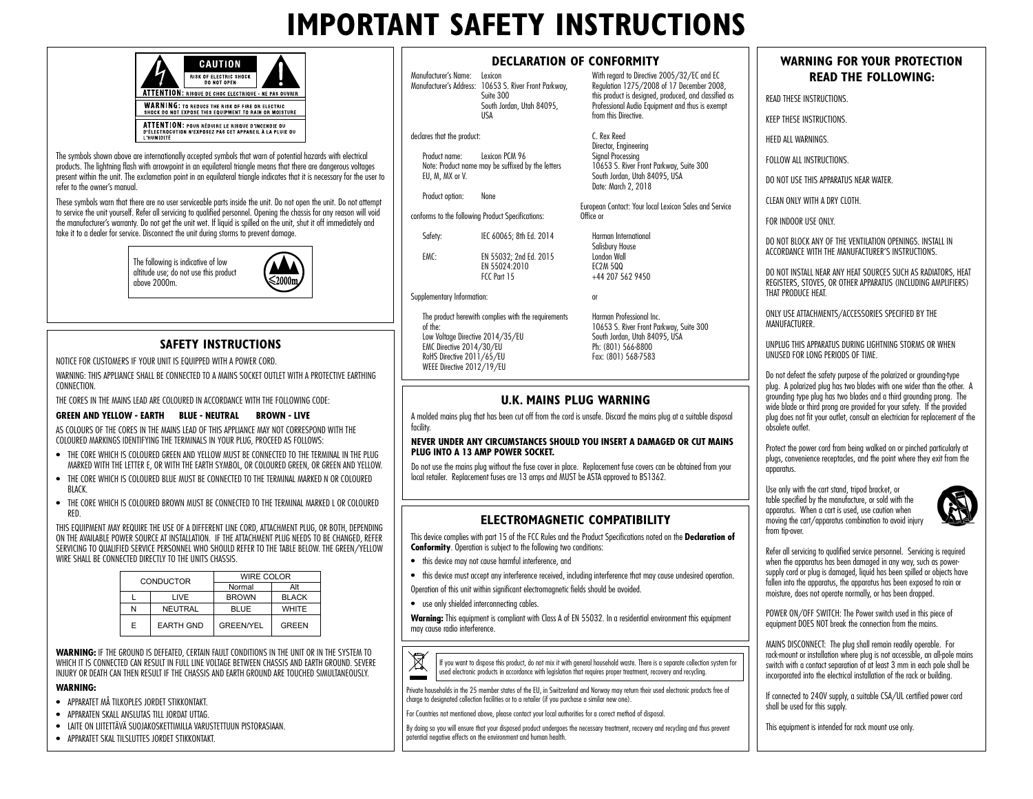## **IMPORTANT SAFETY INSTRUCTIONS**

|            | CAUTION                                                                                                          |  |
|------------|------------------------------------------------------------------------------------------------------------------|--|
|            | <b>RISK OF ELECTRIC SHOCK</b><br><b>DO NOT OPEN</b>                                                              |  |
|            | ATTENTION: RISQUE DE CHOC ELECTRIQUE - NE PAS OUVRIR                                                             |  |
|            | <b>WARNING: TO REDUCE THE RISK OF FIRE OR ELECTRIC</b><br>SHOCK DO NOT EXPOSE THIS EQUIPMENT TO RAIN OR MOISTURE |  |
| L'HUMIDITÉ | ATTENTION: POUR RÉDUIRE LE RISQUE D'INCENDIE OU<br>D'ÉLECTROCUTION N'EXPOSEZ PAS CET APPAREIL À LA PLUIE OU      |  |

The symbols shown above are internationally accepted symbols that warn of potential hazards with electrical products. The lightning flash with arrowpoint in an equilateral triangle means that there are dangerous voltages present within the unit. The exclamation point in an equilateral triangle indicates that it is necessary for the user to refer to the owner's manual.

These symbols warn that there are no user serviceable parts inside the unit. Do not open the unit. Do not attempt to service the unit yourself. Refer all servicing to qualified personnel. Opening the chassis for any reason will void the manufacturer's warranty. Do not get the unit wet. If liquid is spilled on the unit, shut it off immediately and take it to a dealer for service. Disconnect the unit during storms to prevent damage.

> The following is indicative of low altitude use; do not use this product  $n$ hove  $2000m$



## **SAFETY INSTRUCTIONS**

NOTICE FOR CUSTOMERS IF YOUR UNIT IS EQUIPPED WITH A POWER CORD.

WARNING: THIS APPLIANCE SHALL BE CONNECTED TO A MAINS SOCKET OUTLET WITH A PROTECTIVE FARTHING **CONNECTION** 

THE CORES IN THE MAINS LEAD ARE COLOURED IN ACCORDANCE WITH THE FOLLOWING CODE:

### **GREEN AND YELLOW - EARTH BLUE - NEUTRAL BROWN - LIVE**

AS COLOURS OF THE CORES IN THE MAINS LEAD OF THIS APPLIANCE MAY NOT CORRESPOND WITH THE COLOURED MARKINGS IDENTIFYING THE TERMINALS IN YOUR PLUG, PROCEED AS FOLLOWS:

- THE CORE WHICH IS COLOURED GREEN AND YELLOW MUST BE CONNECTED TO THE TERMINAL IN THE PLUG MARKED WITH THE LETTER E, OR WITH THE EARTH SYMBOL, OR COLOURED GREEN, OR GREEN AND YELLOW.
- THE CORE WHICH IS COLOURED BLUE MUST BE CONNECTED TO THE TERMINAL MARKED N OR COLOURED BLACK.
- THE CORE WHICH IS COLOURED BROWN MUST BE CONNECTED TO THE TERMINAL MARKED L OR COLOURED RED.

THIS EQUIPMENT MAY REQUIRE THE USE OF A DIFFERENT LINE CORD, ATTACHMENT PLUG, OR BOTH, DEPENDING ON THE AVAILABLE POWER SOURCE AT INSTALLATION. IF THE ATTACHMENT PLUG NEEDS TO BE CHANGED, REFER SERVICING TO QUALIFIED SERVICE PERSONNEL WHO SHOULD REFER TO THE TABLE BELOW. THE GREEN/YELLOW WIRE SHALL BE CONNECTED DIRECTLY TO THE UNITS CHASSIS.

| CONDUCTOR |                  | WIRE COLOR       |              |  |
|-----------|------------------|------------------|--------------|--|
|           |                  | Normal           | Alt          |  |
|           | LIVE             | <b>BROWN</b>     | <b>BLACK</b> |  |
|           | NEUTRAL          | <b>BLUE</b>      | <b>WHITE</b> |  |
| Е         | <b>EARTH GND</b> | <b>GREEN/YEL</b> | GREEN        |  |

**WARNING:** IF THE GROUND IS DEFEATED, CERTAIN FAULT CONDITIONS IN THE UNIT OR IN THE SYSTEM TO WHICH IT IS CONNECTED CAN RESULT IN FULL LINE VOLTAGE BETWEEN CHASSIS AND EARTH GROUND. SEVERE INJURY OR DEATH CAN THEN RESULT IF THE CHASSIS AND EARTH GROUND ARE TOUCHED SIMULTANEOUSLY.

### **WARNING:**

- APPARATET MÅ TILKOPLES JORDET STIKKONTAKT.
- APPARATEN SKALL ANSLUTAS TILL JORDAT UTTAG.
- LAITE ON LIITETTÄVÄ SUOJAKOSKETTIMILLA VARUSTETTUUN PISTORASIAAN.
- APPARATET SKAL TILSLUTTES JORDET STIKKONTAKT.

### **DECLARATION OF CONFORMITY**

Manufacturer's Name: Lexicon Manufacturer's Address: 10653 S. River Front Parkway, Suite 300 South Jordan, Utah 84095 USA

### declares that the product:

Product name: Lexicon PCM 96 Note: Product name may be suffixed by the letters FII M, MX or V.

Product option: None

conforms to the following Product Specifications:

Safety: IEC 60065; 8th Ed. 2014 EMC: EN 55032; 2nd Ed. 2015 EN 55024:2010

Office or Harman International Salisbury House London Wall EC2M 5QQ +44 207 562 9450

from this Directive. C. Rex Reed Director, Engineering Signal Processing

or

WEEE Directive 2012/19/EU

### Harman Professional Inc. 10653 S. River Front Parkway, Suite 300 South Jordan, Utah 84095, USA Ph: (801) 566-8800 Fax: (801) 568-7583

With regard to Directive 2005/32/EC and EC Regulation 1275/2008 of 17 December 2008, this product is designed, produced, and classified as Professional Audio Equipment and thus is exempt

10653 S. River Front Parkway, Suite 300 South Jordan, Utah 84095, IISA Date: March 2, 2018

European Contact: Your local Lexicon Sales and Service

### **U.K. MAINS PLUG WARNING**

A molded mains plug that has been cut off from the cord is unsafe. Discard the mains plug at a suitable disposal facility.

### **NEVER UNDER ANY CIRCUMSTANCES SHOULD YOU INSERT A DAMAGED OR CUT MAINS PLUG INTO A 13 AMP POWER SOCKET.**

Do not use the mains plug without the fuse cover in place. Replacement fuse covers can be obtained from your local retailer. Replacement fuses are 13 amps and MUST be ASTA approved to BS1362.

### **ELECTROMAGNETIC COMPATIBILITY**

This device complies with part 15 of the FCC Rules and the Product Specifications noted on the **Declaration of Conformity**. Operation is subject to the following two conditions:

- this device may not cause harmful interference, and
- this device must accept any interference received, including interference that may cause undesired operation.

Operation of this unit within significant electromagnetic fields should be avoided.

• use only shielded interconnecting cables.

Warning: This equipment is compliant with Class A of EN 55032. In a residential environment this equipment may cause radio interference.



If you want to dispose this product, do not mix it with general household waste. There is a separate collection system for used electronic products in accordance with legislation that requires proper treatment, recovery and recycling.

Private households in the 25 member states of the EU, in Switzerland and Norway may return their used electronic products free of charge to designated collection facilities or to a retailer (if you purchase a similar new one).

For Countries not mentioned above, please contact your local authorities for a correct method of disposal.

By doing so you will ensure that your disposed product undergoes the necessary treatment, recovery and recycling and thus prevent potential negative effects on the environment and human health.

## **WARNING FOR YOUR PROTECTION READ THE FOLLOWING:**

READ THESE INSTRUCTIONS.

KEEP THESE INSTRUCTIONS.

HEED ALL WARNINGS

FOLLOW ALL INSTRUCTIONS.

DO NOT USE THIS APPARATUS NEAR WATER.

CLEAN ONLY WITH A DRY CLOTH.

FOR INDOOR USE ONLY.

DO NOT BLOCK ANY OF THE VENTILATION OPENINGS. INSTALL IN ACCORDANCE WITH THE MANUFACTURER'S INSTRUCTIONS.

DO NOT INSTALL NEAR ANY HEAT SOURCES SUCH AS RADIATORS, HEAT REGISTERS, STOVES, OR OTHER APPARATUS (INCLUDING AMPLIFIERS) THAT PRODUCE HEAT.

ONLY USE ATTACHMENTS/ACCESSORIES SPECIFIED BY THE **MANUFACTURER** 

UNPLUG THIS APPARATUS DURING LIGHTNING STORMS OR WHEN UNUSED FOR LONG PERIODS OF TIME.

Do not defeat the safety purpose of the polarized or grounding-type plug. A polarized plug has two blades with one wider than the other. A grounding type plug has two blades and a third grounding prong. The wide blade or third prong are provided for your safety. If the provided plug does not fit your outlet, consult an electrician for replacement of the obsolete outlet.

Protect the power cord from being walked on or pinched particularly at plugs, convenience receptacles, and the point where they exit from the apparatus.

Use only with the cart stand, tripod bracket, or table specified by the manufacture, or sold with the apparatus. When a cart is used, use caution when moving the cart/apparatus combination to avoid injury from tip-over



Refer all servicing to qualified service personnel. Servicing is required when the apparatus has been damaged in any way, such as powersupply cord or plug is damaged, liquid has been spilled or objects have fallen into the apparatus, the apparatus has been exposed to rain or moisture, does not operate normally, or has been dropped.

POWER ON/OFF SWITCH: The Power switch used in this piece of equipment DOES NOT break the connection from the mains.

MAINS DISCONNECT: The plug shall remain readily operable. For rack-mount or installation where plug is not accessible, an all-pole mains switch with a contact separation of at least 3 mm in each pole shall be incorporated into the electrical installation of the rack or building.

If connected to 240V supply, a suitable CSA/UL certified power cord shall be used for this supply.

This equipment is intended for rack mount use only.